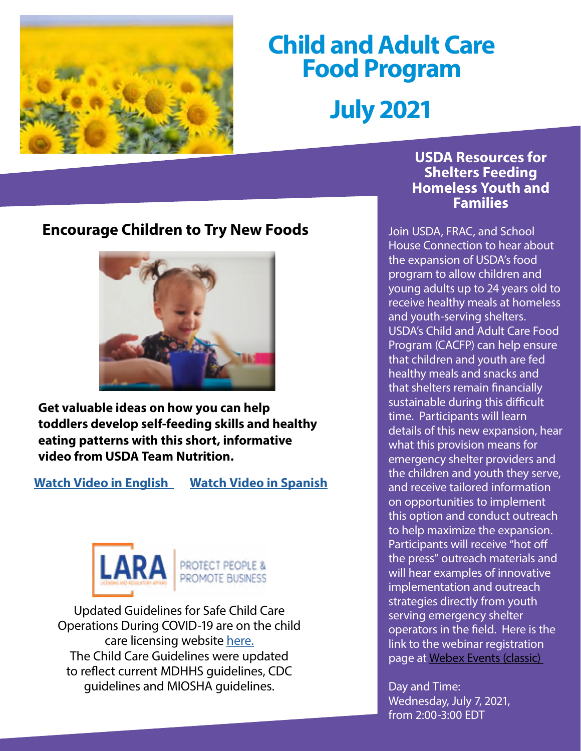

# **Child and Adult Care Food Program July 2021**

# **Encourage Children to Try New Foods**



**Get valuable ideas on how you can help toddlers develop self-feeding skills and healthy eating patterns with this short, informative video from USDA Team Nutrition.**

**[Watch Video in English](https://gcc02.safelinks.protection.outlook.com/?url=https%3A%2F%2Fr20.rs6.net%2Ftn.jsp%3Ff%3D001dgwoqwW-qCJFMWg2H2rGimrbvsX8kJZ_HJQ9Am_jRSOD2CuqWdRf0qfFHJ77qW5Wds4pJBVeabNDlnPPCJSpspGmo6INzIx0f2jrKut60YANHz5Oly2TSOxkc6gBuERSYSsw_TPTK1B8Y9y1qlkylxRicbmB1Hm83v1pCu0LOoIi07496XdNVeKxvw4zSs08%26c%3DZzX8LJYHz2BwNE0q4bmLjVbpi8AsT14PtcfZSi2j0YVFueLK0x1zag%3D%3D%26ch%3DtUZu0pAjozUVis-Kqorv08Tel2qvH_6vhKc2QC2aFTTjJM3mO0K8tA%3D%3D&data=04%7C01%7CGalbaviT%40michigan.gov%7C211ff1ec1a2d4554f36008d9371241af%7Cd5fb7087377742ad966a892ef47225d1%7C0%7C0%7C637601373814185767%7CUnknown%7CTWFpbGZsb3d8eyJWIjoiMC4wLjAwMDAiLCJQIjoiV2luMzIiLCJBTiI6Ik1haWwiLCJXVCI6Mn0%3D%7C1000&sdata=nMP1W%2BN%2BNM2gC%2FeufgRWB3%2FvGH4hQEcIZ7RFdUMJaRw%3D&reserved=0) [Watch Video in Spanish](https://gcc02.safelinks.protection.outlook.com/?url=https%3A%2F%2Fr20.rs6.net%2Ftn.jsp%3Ff%3D001dgwoqwW-qCJFMWg2H2rGimrbvsX8kJZ_HJQ9Am_jRSOD2CuqWdRf0qfFHJ77qW5WOMVpv6QVHBJ8im_2FrZAdF_MiMj-LQOnD4u_2kv8e7h_jQddGIRbY-1ZWPc26dtaw5DPdxc60Vr8BQYmWDfKb-Vw3IVDbgxTkveoHwDPWD4TzR8JwwZMadXxsRbzlifZE5EY5JFRATQ%3D%26c%3DZzX8LJYHz2BwNE0q4bmLjVbpi8AsT14PtcfZSi2j0YVFueLK0x1zag%3D%3D%26ch%3DtUZu0pAjozUVis-Kqorv08Tel2qvH_6vhKc2QC2aFTTjJM3mO0K8tA%3D%3D&data=04%7C01%7CGalbaviT%40michigan.gov%7C211ff1ec1a2d4554f36008d9371241af%7Cd5fb7087377742ad966a892ef47225d1%7C0%7C0%7C637601373814195721%7CUnknown%7CTWFpbGZsb3d8eyJWIjoiMC4wLjAwMDAiLCJQIjoiV2luMzIiLCJBTiI6Ik1haWwiLCJXVCI6Mn0%3D%7C1000&sdata=r045gc6098OOM%2BgYzAr5x0hkVh1s7ZMSJku3ky5FXzs%3D&reserved=0)**



Updated Guidelines for Safe Child Care Operations During COVID-19 are on the child care licensing website [here.](https://gcc02.safelinks.protection.outlook.com/?url=https%3A%2F%2Flnks.gd%2Fl%2FeyJhbGciOiJIUzI1NiJ9.eyJidWxsZXRpbl9saW5rX2lkIjoxMDAsInVyaSI6ImJwMjpjbGljayIsImJ1bGxldGluX2lkIjoiMjAyMTA2MjguNDI1MjUxNDEiLCJ1cmwiOiJodHRwczovL2djYzAyLnNhZmVsaW5rcy5wcm90ZWN0aW9uLm91dGxvb2suY29tLz91cmw9aHR0cHMlM0ElMkYlMkZ3d3cubWljaGlnYW4uZ292JTJGZG9jdW1lbnRzJTJGbGFyYSUyRkNoaWxkX0NhcmVfR3VpZGVsaW5lc19DT1ZJRDE5XzcyNjQ3MV83LnBkZiZkYXRhPTA0JTdDMDElN0NSaWViZWxTJTQwbWljaGlnYW4uZ292JTdDMWYxOWZhMWE4Nzk3NGRmYThkNzQwOGQ5M2E3MmVlNTUlN0NkNWZiNzA4NzM3Nzc0MmFkOTY2YTg5MmVmNDcyMjVkMSU3QzAlN0MwJTdDNjM3NjA1MDg3NTU2NDYxMDc4JTdDVW5rbm93biU3Q1RXRnBiR1pzYjNkOGV5SldJam9pTUM0d0xqQXdNREFpTENKUUlqb2lWMmx1TXpJaUxDSkJUaUk2SWsxaGFXd2lMQ0pYVkNJNk1uMCUzRCU3QzEwMDAmc2RhdGE9T3dSdWNsWG9qUWFBdXRFN0xoN0QyOXdGalpwbk14NDh1Z3o4MXM0eEE5ZyUzRCZyZXNlcnZlZD0wIn0.Lffz8djRn06I6yf__j2h7umptyxw83tF6CMh7hmEjmM%2Fs%2F497347080%2Fbr%2F108530953452-l&data=04%7C01%7Cgalbavit%40michigan.gov%7Cb725a61368d04859f83008d93a78754d%7Cd5fb7087377742ad966a892ef47225d1%7C0%7C0%7C637605112189289622%7CUnknown%7CTWFpbGZsb3d8eyJWIjoiMC4wLjAwMDAiLCJQIjoiV2luMzIiLCJBTiI6Ik1haWwiLCJXVCI6Mn0%3D%7C1000&sdata=9sXRgQQY%2FuekYyBrFw%2FXs6DFuVZiGTDdovEya9rU8jg%3D&reserved=0) The Child Care Guidelines were updated to reflect current MDHHS guidelines, CDC guidelines and MIOSHA guidelines.

#### **USDA Resources for Shelters Feeding Homeless Youth and Families**

Join USDA, FRAC, and School House Connection to hear about the expansion of USDA's food program to allow children and young adults up to 24 years old to receive healthy meals at homeless and youth-serving shelters. USDA's Child and Adult Care Food Program (CACFP) can help ensure that children and youth are fed healthy meals and snacks and that shelters remain financially sustainable during this difficult time. Participants will learn details of this new expansion, hear what this provision means for emergency shelter providers and the children and youth they serve, and receive tailored information on opportunities to implement this option and conduct outreach to help maximize the expansion. Participants will receive "hot off the press" outreach materials and will hear examples of innovative implementation and outreach strategies directly from youth serving emergency shelter operators in the field. Here is the link to the webinar registration page at Webex Events (classic)

Day and Time: Wednesday, July 7, 2021, from 2:00-3:00 EDT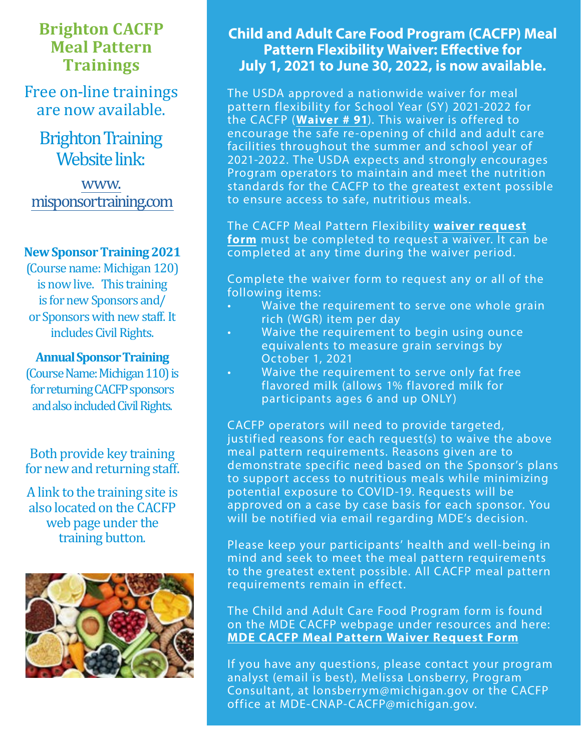# **Brighton CACFP Meal Pattern Trainings**

Free on-line trainings are now available.

**Brighton Training** Website link:

[www.](http://www.misponsortraining.com) [misponsortraining.com](http://www.misponsortraining.com)

#### **New Sponsor Training 2021**

(Course name: Michigan 120) is now live. This training is for new Sponsors and/ or Sponsors with new staff. It includes Civil Rights.

#### **Annual Sponsor Training**

(Course Name: Michigan 110) is for returning CACFP sponsors and also included Civil Rights.

Both provide key training for new and returning staff.

A link to the training site is also located on the CACFP web page under the training button.



## **Child and Adult Care Food Program (CACFP) Meal Pattern Flexibility Waiver: Effective for July 1, 2021 to June 30, 2022, is now available.**

The USDA approved a nationwide waiver for meal pattern flexibility for School Year (SY) 2021-2022 for the CACFP (**[Waiver # 91](https://gcc02.safelinks.protection.outlook.com/?url=https%3A%2F%2Ffns-prod.azureedge.net%2Fsites%2Fdefault%2Ffiles%2Fresource-files%2FCOVID19NationwideWaiver91os.pdf&data=04%7C01%7CGalbaviT%40michigan.gov%7Caa13ce630ed34df3e71208d9371006f5%7Cd5fb7087377742ad966a892ef47225d1%7C0%7C0%7C637601364239559241%7CUnknown%7CTWFpbGZsb3d8eyJWIjoiMC4wLjAwMDAiLCJQIjoiV2luMzIiLCJBTiI6Ik1haWwiLCJXVCI6Mn0%3D%7C1000&sdata=blm6o%2B%2BPV8zziUfcATDKWACC8VpPqis3qxmbJANcLU8%3D&reserved=0)**). This waiver is offered to encourage the safe re-opening of child and adult care facilities throughout the summer and school year of 2021-2022. The USDA expects and strongly encourages Program operators to maintain and meet the nutrition standards for the CACFP to the greatest extent possible to ensure access to safe, nutritious meals.

The CACFP Meal Pattern Flexibility **[waiver request](https://gcc02.safelinks.protection.outlook.com/?url=https%3A%2F%2Fforms.office.com%2FPages%2FResponsePage.aspx%3Fid%3Dh3D71Xc3rUKWaoku9HIl0adBQgBF3EpMrfJJyRNd7ZFURUdTSUo1Q0dFNUw1M1VNTFVLWUZKSjc5SC4u&data=04%7C01%7CGalbaviT%40michigan.gov%7Caa13ce630ed34df3e71208d9371006f5%7Cd5fb7087377742ad966a892ef47225d1%7C0%7C0%7C637601364239559241%7CUnknown%7CTWFpbGZsb3d8eyJWIjoiMC4wLjAwMDAiLCJQIjoiV2luMzIiLCJBTiI6Ik1haWwiLCJXVCI6Mn0%3D%7C1000&sdata=jyvMbMUoQd5QRROr9uxG8BK%2FFD70ysF3N%2BloxM1uaTA%3D&reserved=0) [form](https://gcc02.safelinks.protection.outlook.com/?url=https%3A%2F%2Fforms.office.com%2FPages%2FResponsePage.aspx%3Fid%3Dh3D71Xc3rUKWaoku9HIl0adBQgBF3EpMrfJJyRNd7ZFURUdTSUo1Q0dFNUw1M1VNTFVLWUZKSjc5SC4u&data=04%7C01%7CGalbaviT%40michigan.gov%7Caa13ce630ed34df3e71208d9371006f5%7Cd5fb7087377742ad966a892ef47225d1%7C0%7C0%7C637601364239559241%7CUnknown%7CTWFpbGZsb3d8eyJWIjoiMC4wLjAwMDAiLCJQIjoiV2luMzIiLCJBTiI6Ik1haWwiLCJXVCI6Mn0%3D%7C1000&sdata=jyvMbMUoQd5QRROr9uxG8BK%2FFD70ysF3N%2BloxM1uaTA%3D&reserved=0)** must be completed to request a waiver. It can be completed at any time during the waiver period.

Complete the waiver form to request any or all of the following items:

- Waive the requirement to serve one whole grain rich (WGR) item per day
- Waive the requirement to begin using ounce equivalents to measure grain servings by October 1, 2021
- Waive the requirement to serve only fat free flavored milk (allows 1% flavored milk for participants ages 6 and up ONLY)

CACFP operators will need to provide targeted, justified reasons for each request(s) to waive the above meal pattern requirements. Reasons given are to demonstrate specific need based on the Sponsor's plans to support access to nutritious meals while minimizing potential exposure to COVID-19. Requests will be approved on a case by case basis for each sponsor. You will be notified via email regarding MDE's decision.

Please keep your participants' health and well-being in mind and seek to meet the meal pattern requirements to the greatest extent possible. All CACFP meal pattern requirements remain in effect.

The Child and Adult Care Food Program form is found on the MDE CACFP webpage under resources and here: **[MDE CACFP Meal Pattern Waiver Request Form](https://gcc02.safelinks.protection.outlook.com/?url=https%3A%2F%2Fforms.office.com%2FPages%2FResponsePage.aspx%3Fid%3Dh3D71Xc3rUKWaoku9HIl0adBQgBF3EpMrfJJyRNd7ZFURUdTSUo1Q0dFNUw1M1VNTFVLWUZKSjc5SC4u&data=04%7C01%7CGalbaviT%40michigan.gov%7Caa13ce630ed34df3e71208d9371006f5%7Cd5fb7087377742ad966a892ef47225d1%7C0%7C0%7C637601364239569197%7CUnknown%7CTWFpbGZsb3d8eyJWIjoiMC4wLjAwMDAiLCJQIjoiV2luMzIiLCJBTiI6Ik1haWwiLCJXVCI6Mn0%3D%7C1000&sdata=L4%2BnOWRr4dvhWsWwWpyMN6NK2QESKySiECMRHzkPvn0%3D&reserved=0)**

If you have any questions, please contact your program analyst (email is best), Melissa Lonsberry, Program Consultant, at lonsberrym@michigan.gov or the CACFP office at MDE-CNAP-CACFP@michigan.gov.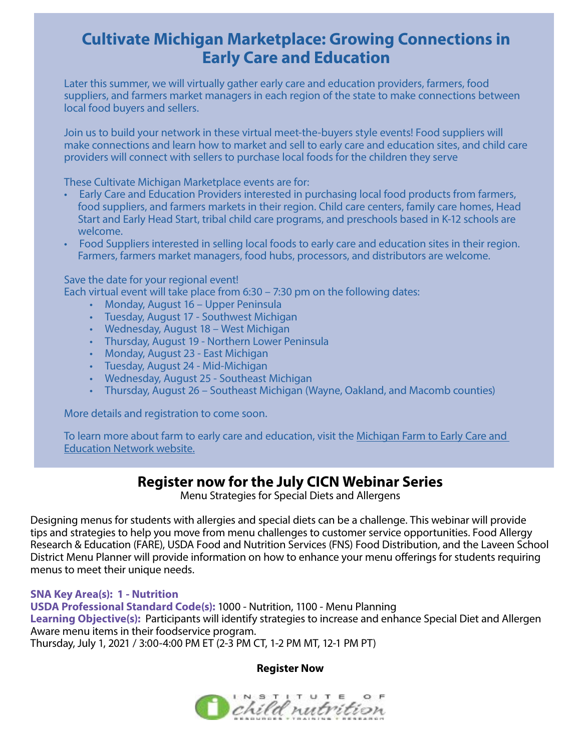# **Cultivate Michigan Marketplace: Growing Connections in Early Care and Education**

Later this summer, we will virtually gather early care and education providers, farmers, food suppliers, and farmers market managers in each region of the state to make connections between local food buyers and sellers.

Join us to build your network in these virtual meet-the-buyers style events! Food suppliers will make connections and learn how to market and sell to early care and education sites, and child care providers will connect with sellers to purchase local foods for the children they serve

These Cultivate Michigan Marketplace events are for:

- Early Care and Education Providers interested in purchasing local food products from farmers, food suppliers, and farmers markets in their region. Child care centers, family care homes, Head Start and Early Head Start, tribal child care programs, and preschools based in K-12 schools are welcome.
- Food Suppliers interested in selling local foods to early care and education sites in their region. Farmers, farmers market managers, food hubs, processors, and distributors are welcome.

Save the date for your regional event!

Each virtual event will take place from 6:30 – 7:30 pm on the following dates:

- Monday, August 16 Upper Peninsula
- Tuesday, August 17 Southwest Michigan
- Wednesday, August 18 West Michigan
- Thursday, August 19 Northern Lower Peninsula
- Monday, August 23 East Michigan
- Tuesday, August 24 Mid-Michigan
- Wednesday, August 25 Southeast Michigan
- Thursday, August 26 Southeast Michigan (Wayne, Oakland, and Macomb counties)

More details and registration to come soon.

To learn more about farm to early care and education, visit the Michigan Farm to Early Care and [Education Network website.](https://gcc02.safelinks.protection.outlook.com/?url=https%3A%2F%2Furldefense.com%2Fv3%2F__https%3A%2Fr20.rs6.net%2Ftn.jsp%3Ff%3D001PwArl2LoeZtXYO5GTHyEi4svcMw_VSLos-h3nq_IMF4leiFrwJIzouTpVO7aLqm4OSJ6lYgtzQvD7XPnQ24r3HIpdUHkSNwJynAbYf2nlT3TDNSyz0TZRLmLfj5RqqdqdpFOCxf5DXlqzKxyWHJ11GXfC6VbCXT0iP6HVfJnZqs9NPQwkEJYZP786eF3t4o8%26c%3D9oMsqeyGjQmMMAc5nNv7t_5dCNNkHQPn3kZtdcLbTBOSe-a5onWCxg%3D%3D%26ch%3DpmAc7vakIsxPfMZDHx45MgfsvBAwX_A5GCE60s0j_e6Negm9tfnFDA%3D%3D__%3B!!HXCxUKc!l1k_poH6jJxkHUlAuhAZfesiQ90l52bSm-yRFxzhd16rT_uRUeKMD-NVXtzdyc8%24&data=04%7C01%7CGalbaviT%40michigan.gov%7C83ded7ffef4e42c1877308d935919302%7Cd5fb7087377742ad966a892ef47225d1%7C0%7C0%7C637599721611318017%7CUnknown%7CTWFpbGZsb3d8eyJWIjoiMC4wLjAwMDAiLCJQIjoiV2luMzIiLCJBTiI6Ik1haWwiLCJXVCI6Mn0%3D%7C1000&sdata=bhHg9kaAd4YptRa0MNevpluD40yJEvw0NT%2FlMjiadGE%3D&reserved=0)

## **Register now for the July CICN Webinar Series**

Menu Strategies for Special Diets and Allergens

Designing menus for students with allergies and special diets can be a challenge. This webinar will provide tips and strategies to help you move from menu challenges to customer service opportunities. Food Allergy Research & Education (FARE), USDA Food and Nutrition Services (FNS) Food Distribution, and the Laveen School District Menu Planner will provide information on how to enhance your menu offerings for students requiring menus to meet their unique needs.

**SNA Key Area(s): 1 - Nutrition USDA Professional Standard Code(s):** 1000 - Nutrition, 1100 - Menu Planning **Learning Objective(s):** Participants will identify strategies to increase and enhance Special Diet and Allergen Aware menu items in their foodservice program. Thursday, July 1, 2021 / 3:00-4:00 PM ET (2-3 PM CT, 1-2 PM MT, 12-1 PM PT)

#### **[Register Now](https://gcc02.safelinks.protection.outlook.com/?url=https%3A%2F%2Ftheicn.us17.list-manage.com%2Ftrack%2Fclick%3Fu%3D68fadd98c5b39720cf6852af9%26id%3D86770b56b9%26e%3D254de293ea&data=04%7C01%7CGalbaviT%40michigan.gov%7C07b571a8b07e4f1547a908d93716c9ee%7Cd5fb7087377742ad966a892ef47225d1%7C0%7C0%7C637601393278503918%7CUnknown%7CTWFpbGZsb3d8eyJWIjoiMC4wLjAwMDAiLCJQIjoiV2luMzIiLCJBTiI6Ik1haWwiLCJXVCI6Mn0%3D%7C1000&sdata=VoELrnd1I6rGSyrKuh2ZkVu0iDZalro1ZDmNCtCC9CU%3D&reserved=0)**